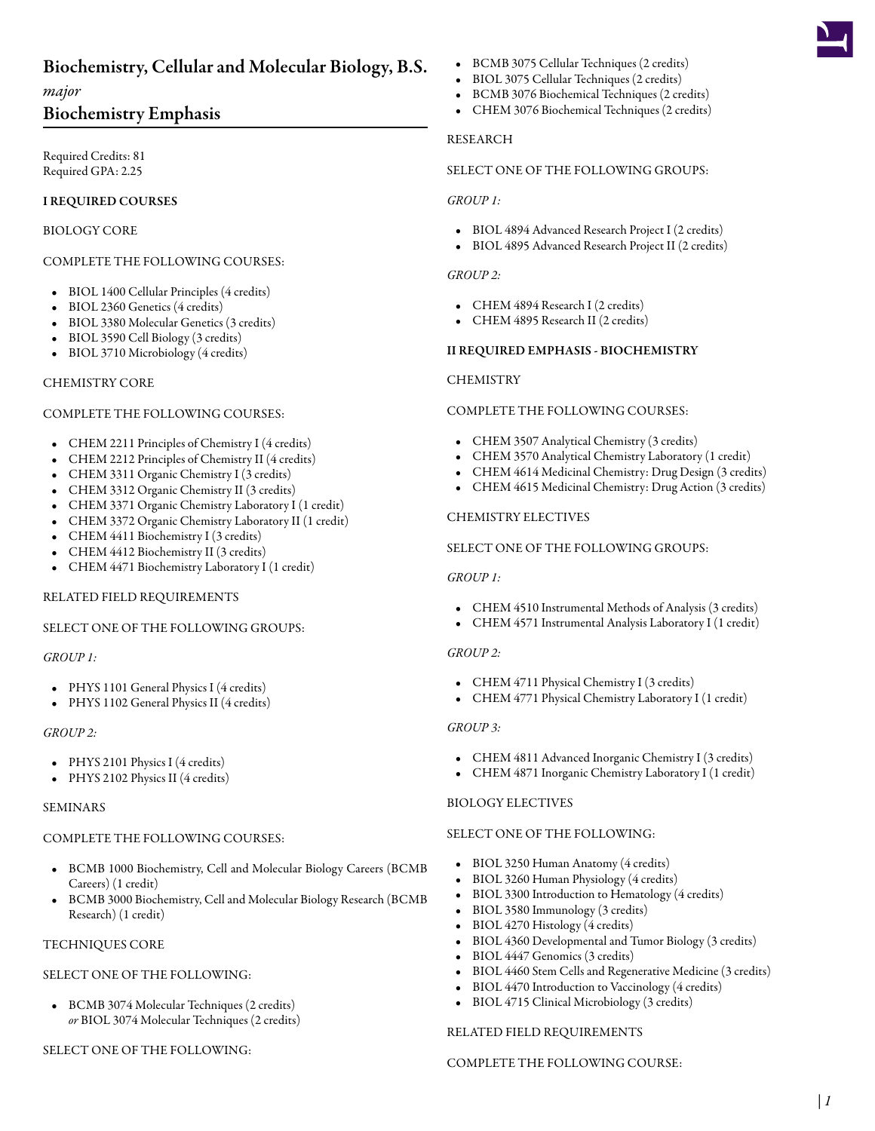# Biochemistry, Cellular and Molecular Biology, B.S.

# *major*

# Biochemistry Emphasis

Required Credits: 81 Required GPA: 2.25

# I REQUIRED COURSES

## BIOLOGY CORE

# COMPLETE THE FOLLOWING COURSES:

- BIOL 1400 [Cellular Principles](/academics/catalog/20223/courses/biol/1400) (4 credits)
- BIOL 2360 [Genetics](/academics/catalog/20223/courses/biol/2360) (4 credits)
- BIOL 3380 [Molecular Genetics](/academics/catalog/20223/courses/biol/3380) (3 credits)
- BIOL 3590 [Cell Biology](/academics/catalog/20223/courses/biol/3590) (3 credits)
- BIOL 3710 [Microbiology](/academics/catalog/20223/courses/biol/3710) (4 credits)

#### CHEMISTRY CORE

#### COMPLETE THE FOLLOWING COURSES:

- CHEM 2211 [Principles of Chemistry I](/academics/catalog/20223/courses/chem/2211) (4 credits)
- CHEM 2212 [Principles of Chemistry II](/academics/catalog/20223/courses/chem/2212) (4 credits)
- CHEM 3311 [Organic Chemistry I](/academics/catalog/20223/courses/chem/3311) (3 credits)
- CHEM 3312 [Organic Chemistry II](/academics/catalog/20223/courses/chem/3312) (3 credits)
- CHEM 3371 [Organic Chemistry Laboratory I](/academics/catalog/20223/courses/chem/3371) (1 credit)
- CHEM 3372 [Organic Chemistry Laboratory II](/academics/catalog/20223/courses/chem/3372) (1 credit)
- CHEM 4411 [Biochemistry I](/academics/catalog/20223/courses/chem/4411) (3 credits)
- CHEM 4412 [Biochemistry II](/academics/catalog/20223/courses/chem/4412) (3 credits)
- CHEM 4471 [Biochemistry Laboratory I](/academics/catalog/20223/courses/chem/4471) (1 credit)

# RELATED FIELD REQUIREMENTS

# SELECT ONE OF THE FOLLOWING GROUPS:

#### *GROUP 1:*

- PHYS 1101 [General Physics I](/academics/catalog/20223/courses/phys/1101) (4 credits)
- PHYS 1102 [General Physics II](/academics/catalog/20223/courses/phys/1102) (4 credits)

#### *GROUP 2:*

- PHYS 2101 [Physics I](/academics/catalog/20223/courses/phys/2101) (4 credits)
- PHYS 2102 [Physics II](/academics/catalog/20223/courses/phys/2102) (4 credits)

#### SEMINARS

#### COMPLETE THE FOLLOWING COURSES:

- BCMB 1000 [Biochemistry, Cell and Molecular Biology Careers \(BCMB](/academics/catalog/20223/courses/bcmb/1000) [Careers\)](/academics/catalog/20223/courses/bcmb/1000) (1 credit)
- BCMB 3000 [Biochemistry, Cell and Molecular Biology Research \(BCMB](/academics/catalog/20223/courses/bcmb/3000) [Research\)](/academics/catalog/20223/courses/bcmb/3000) (1 credit)

#### TECHNIQUES CORE

#### SELECT ONE OF THE FOLLOWING:

• BCMB 3074 [Molecular Techniques](/academics/catalog/20223/courses/bcmb/3074) (2 credits) *or* BIOL 3074 [Molecular Techniques](/academics/catalog/20223/courses/biol/3074) (2 credits)

# SELECT ONE OF THE FOLLOWING:

- BCMB 3075 [Cellular Techniques](/academics/catalog/20223/courses/bcmb/3075) (2 credits)
- BIOL 3075 [Cellular Techniques](/academics/catalog/20223/courses/biol/3075) (2 credits)
- BCMB 3076 [Biochemical Techniques](/academics/catalog/20223/courses/bcmb/3076) (2 credits)
- CHEM 3076 [Biochemical Techniques](/academics/catalog/20223/courses/chem/3076) (2 credits)

#### RESEARCH

## SELECT ONE OF THE FOLLOWING GROUPS:

#### *GROUP 1:*

- BIOL 4894 [Advanced Research Project I](/academics/catalog/20223/courses/biol/4894) (2 credits)
- BIOL 4895 [Advanced Research Project II](/academics/catalog/20223/courses/biol/4895) (2 credits)

#### *GROUP 2:*

- CHEM 4894 [Research I](/academics/catalog/20223/courses/chem/4894) (2 credits)
- CHEM 4895 [Research II](/academics/catalog/20223/courses/chem/4895) (2 credits)

#### II REQUIRED EMPHASIS - BIOCHEMISTRY

#### **CHEMISTRY**

#### COMPLETE THE FOLLOWING COURSES:

- CHEM 3507 [Analytical Chemistry](/academics/catalog/20223/courses/chem/3507) (3 credits)
- CHEM 3570 [Analytical Chemistry Laboratory](/academics/catalog/20223/courses/chem/3570) (1 credit)
- CHEM 4614 [Medicinal Chemistry: Drug Design](/academics/catalog/20223/courses/chem/4614) (3 credits)
- CHEM 4615 [Medicinal Chemistry: Drug Action](/academics/catalog/20223/courses/chem/4615) (3 credits)

#### CHEMISTRY ELECTIVES

#### SELECT ONE OF THE FOLLOWING GROUPS:

#### *GROUP 1:*

- CHEM 4510 [Instrumental Methods of Analysis](/academics/catalog/20223/courses/chem/4510) (3 credits)
- CHEM 4571 [Instrumental Analysis Laboratory I](/academics/catalog/20223/courses/chem/4571) (1 credit)

#### *GROUP 2:*

- CHEM 4711 [Physical Chemistry I](/academics/catalog/20223/courses/chem/4711) (3 credits)
- CHEM 4771 [Physical Chemistry Laboratory I](/academics/catalog/20223/courses/chem/4771) (1 credit)

# *GROUP 3:*

- CHEM 4811 [Advanced Inorganic Chemistry I](/academics/catalog/20223/courses/chem/4811) (3 credits)
- CHEM 4871 [Inorganic Chemistry Laboratory I](/academics/catalog/20223/courses/chem/4871) (1 credit)

#### BIOLOGY ELECTIVES

#### SELECT ONE OF THE FOLLOWING:

- BIOL 3250 [Human Anatomy](/academics/catalog/20223/courses/biol/3250) (4 credits)
- BIOL 3260 [Human Physiology](/academics/catalog/20223/courses/biol/3260) (4 credits)
- BIOL 3300 [Introduction to Hematology](/academics/catalog/20223/courses/biol/3300) (4 credits)
- BIOL 3580 [Immunology](/academics/catalog/20223/courses/biol/3580) (3 credits)
- BIOL 4270 [Histology](/academics/catalog/20223/courses/biol/4270) (4 credits)
- BIOL 4360 [Developmental and Tumor Biology](/academics/catalog/20223/courses/biol/4360) (3 credits)
- BIOL 4447 [Genomics](/academics/catalog/20223/courses/biol/4447) (3 credits)
- BIOL 4460 [Stem Cells and Regenerative Medicine](/academics/catalog/20223/courses/biol/4460) (3 credits)
- BIOL 4470 [Introduction to Vaccinology](/academics/catalog/20223/courses/biol/4470) (4 credits)
- BIOL 4715 [Clinical Microbiology](/academics/catalog/20223/courses/biol/4715) (3 credits)

#### RELATED FIELD REQUIREMENTS

#### COMPLETE THE FOLLOWING COURSE: